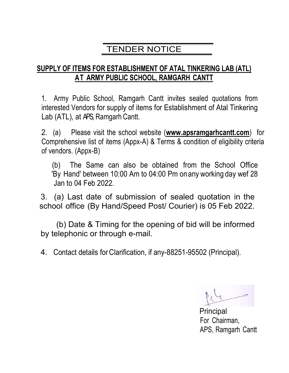## TENDER NOTICE

### SUPPLY OF ITEMS FOR ESTABLISHMENT OF ATAL TINKERING LAB (ATL) AT ARMY PUBLIC SCHOOL, RAMGARH CANTT

1. Army Public School, Ramgarh Cantt invites sealed quotations from interested Vendors for supply of items for Establishment of Atal Tinkering Lab (ATL), at APS, Ramgarh Cantt.

2. (a) Please visit the school website (www.apsramgarhcantt.com) for Comprehensive list of items (Appx-A) & Terms & condition of eligibility criteria of vendors. (Appx-B)

 (b) The Same can also be obtained from the School Office 'By Hand' between 10:00 Am to 04:00 Pm on any working day wef 28 Jan to 04 Feb 2022.

3. (a) Last date of submission of sealed quotation in the school office (By Hand/Speed Post/ Courier) is 05 Feb 2022.

 (b) Date & Timing for the opening of bid will be informed by telephonic or through e-mail.

4. Contact details for Clarification, if any-88251-95502 (Principal).

 $+$ 

enter a la contrata de la contrata de la contrata de la contrata de la contrata de la contrata de la contrata For Chairman, APS, Ramgarh Cantt